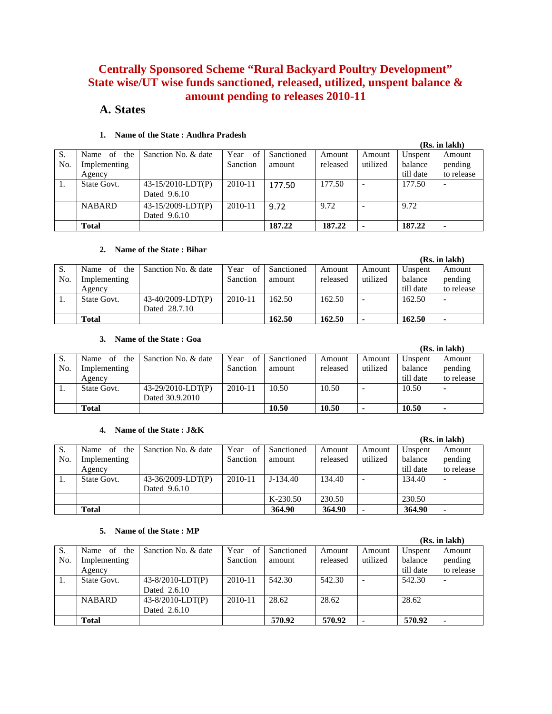# **Centrally Sponsored Scheme "Rural Backyard Poultry Development" State wise/UT wise funds sanctioned, released, utilized, unspent balance & amount pending to releases 2010-11**

# **A. States**

|     |                     |                      |            |            |          |          |           | (IS), III ІАВІІ <i>)</i> |
|-----|---------------------|----------------------|------------|------------|----------|----------|-----------|--------------------------|
| S.  | the '<br>Name<br>of | Sanction No. & date  | Year<br>of | Sanctioned | Amount   | Amount   | Unspent   | Amount                   |
| No. | Implementing        |                      | Sanction   | amount     | released | utilized | balance   | pending                  |
|     | Agency              |                      |            |            |          |          | till date | to release               |
|     | State Govt.         | $43-15/2010$ -LDT(P) | 2010-11    | 177.50     | 177.50   |          | 177.50    |                          |
|     |                     | Dated 9.6.10         |            |            |          |          |           |                          |
|     | <b>NABARD</b>       | $43-15/2009$ -LDT(P) | 2010-11    | 9.72       | 9.72     |          | 9.72      |                          |
|     |                     | Dated 9.6.10         |            |            |          |          |           |                          |
|     | <b>Total</b>        |                      |            | 187.22     | 187.22   |          | 187.22    | $\blacksquare$           |

# **1. Name of the State : Andhra Pradesh**

#### **2. Name of the State : Bihar**

|     | гчине от ене высе , вним |                     |            |            |          |          |           |                          |
|-----|--------------------------|---------------------|------------|------------|----------|----------|-----------|--------------------------|
|     |                          |                     |            |            |          |          |           | (Rs. in lakh)            |
| S.  | the<br>of<br>Name        | Sanction No. & date | Year<br>οť | Sanctioned | Amount   | Amount   | Unspent   | Amount                   |
| No. | Implementing             |                     | Sanction   | amount     | released | utilized | balance   | pending                  |
|     | Agency                   |                     |            |            |          |          | till date | to release               |
|     | State Govt.              | 43-40/2009-LDT(P)   | 2010-11    | 162.50     | 162.50   |          | 162.50    | $\overline{\phantom{a}}$ |
|     |                          | Dated 28.7.10       |            |            |          |          |           |                          |
|     | Total                    |                     |            | 162.50     | 162.50   | ۰        | 162.50    | ۰                        |

# **3. Name of the State : Goa**

|     |                   |                      |            |            |          |          |           | (Rs. in lakh) |
|-----|-------------------|----------------------|------------|------------|----------|----------|-----------|---------------|
| S.  | Name<br>of<br>the | Sanction No. & date  | Year<br>of | Sanctioned | Amount   | Amount   | Unspent   | Amount        |
| No. | Implementing      |                      | Sanction   | amount     | released | utilized | balance   | pending       |
|     | Agency            |                      |            |            |          |          | till date | to release    |
| 1.  | State Govt.       | $43-29/2010$ -LDT(P) | 2010-11    | 10.50      | 10.50    |          | 10.50     |               |
|     |                   | Dated 30.9.2010      |            |            |          |          |           |               |
|     | Total             |                      |            | 10.50      | 10.50    | ٠        | 10.50     | ٠             |

# **4. Name of the State : J&K**

|     |                              |                     |            |            |          |          |           | (Rs. in lakh)            |
|-----|------------------------------|---------------------|------------|------------|----------|----------|-----------|--------------------------|
| S.  | the<br><sub>of</sub><br>Name | Sanction No. & date | Year<br>of | Sanctioned | Amount   | Amount   | Unspent   | Amount                   |
| No. | Implementing                 |                     | Sanction   | amount     | released | utilized | balance   | pending                  |
|     | Agency                       |                     |            |            |          |          | till date | to release               |
|     | State Govt.                  | 43-36/2009-LDT(P)   | 2010-11    | $J-134.40$ | 134.40   |          | 134.40    | $\overline{\phantom{a}}$ |
|     |                              | Dated 9.6.10        |            |            |          |          |           |                          |
|     |                              |                     |            | $K-230.50$ | 230.50   |          | 230.50    |                          |
|     | <b>Total</b>                 |                     |            | 364.90     | 364.90   |          | 364.90    | $\blacksquare$           |

# **5. Name of the State : MP**

|     |                   |                       |            |            |          |          |           | (Rs. in lakh)            |
|-----|-------------------|-----------------------|------------|------------|----------|----------|-----------|--------------------------|
| S.  | the<br>Name<br>of | Sanction No. & date   | Year<br>of | Sanctioned | Amount   | Amount   | Unspent   | Amount                   |
| No. | Implementing      |                       | Sanction   | amount     | released | utilized | balance   | pending                  |
|     | Agency            |                       |            |            |          |          | till date | to release               |
| 1.  | State Govt.       | $43 - 8/2010$ -LDT(P) | 2010-11    | 542.30     | 542.30   |          | 542.30    | $\overline{\phantom{a}}$ |
|     |                   | Dated 2.6.10          |            |            |          |          |           |                          |
|     | <b>NABARD</b>     | $43 - 8/2010$ -LDT(P) | 2010-11    | 28.62      | 28.62    |          | 28.62     |                          |
|     |                   | Dated 2.6.10          |            |            |          |          |           |                          |
|     | <b>Total</b>      |                       |            | 570.92     | 570.92   |          | 570.92    | $\blacksquare$           |

# **(Rs. in lakh)**

#### **(Rs. in lakh)**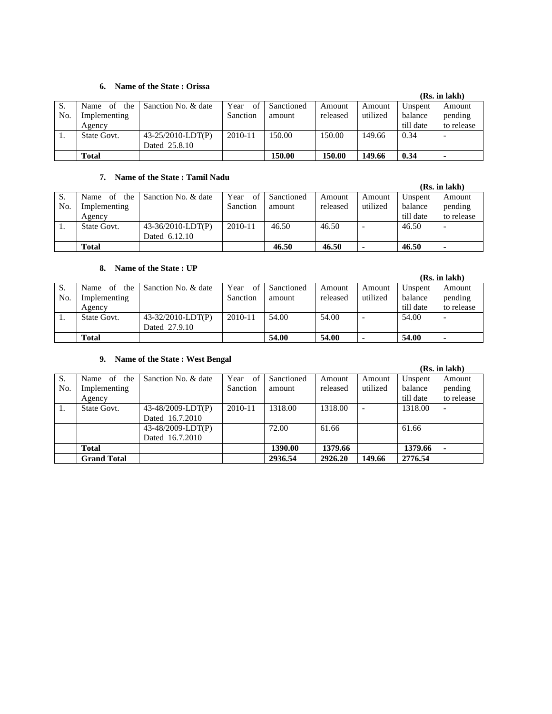#### **6. Name of the State : Orissa**

|     |                   |                      |             |            |          |          |           | (RS. In lakh) |
|-----|-------------------|----------------------|-------------|------------|----------|----------|-----------|---------------|
| S.  | the<br>Name<br>of | Sanction No. & date  | Year<br>of  | Sanctioned | Amount   | Amount   | Unspent   | Amount        |
| No. | Implementing      |                      | Sanction    | amount     | released | utilized | balance   | pending       |
|     | Agency            |                      |             |            |          |          | till date | to release    |
|     | State Govt.       | $43-25/2010$ -LDT(P) | $2010 - 11$ | 150.00     | 150.00   | 149.66   | 0.34      | -             |
|     |                   | Dated 25.8.10        |             |            |          |          |           |               |
|     | Total             |                      |             | 150.00     | 150.00   | 149.66   | 0.34      |               |

#### **7. Name of the State : Tamil Nadu**

|     | $\mathbf{1}$ and $\mathbf{0}$ the $\mathbf{0}$ the $\mathbf{1}$ and $\mathbf{1}$ |                     |            |            |          |          |           |                          |
|-----|----------------------------------------------------------------------------------|---------------------|------------|------------|----------|----------|-----------|--------------------------|
|     |                                                                                  |                     |            |            |          |          |           | (Rs. in lakh)            |
| S.  | the<br>Name<br>of                                                                | Sanction No. & date | Year<br>of | Sanctioned | Amount   | Amount   | Unspent   | Amount                   |
| No. | Implementing                                                                     |                     | Sanction   | amount     | released | utilized | balance   | pending                  |
|     | Agency                                                                           |                     |            |            |          |          | till date | to release               |
|     | State Govt.                                                                      | 43-36/2010-LDT(P)   | 2010-11    | 46.50      | 46.50    |          | 46.50     | $\overline{\phantom{a}}$ |
|     |                                                                                  | Dated 6.12.10       |            |            |          |          |           |                          |
|     | <b>Total</b>                                                                     |                     |            | 46.50      | 46.50    |          | 46.50     |                          |

# **8. Name of the State : UP**

|     |                   |                      |            |            |          |          |           | (Rs. in lakh)  |
|-----|-------------------|----------------------|------------|------------|----------|----------|-----------|----------------|
| S.  | the<br>Name<br>of | Sanction No. & date  | Year<br>of | Sanctioned | Amount   | Amount   | Unspent   | Amount         |
| No. | Implementing      |                      | Sanction   | amount     | released | utilized | balance   | pending        |
|     | Agency            |                      |            |            |          |          | till date | to release     |
| 1.  | State Govt.       | $43-32/2010$ -LDT(P) | 2010-11    | 54.00      | 54.00    |          | 54.00     |                |
|     |                   | Dated 27.9.10        |            |            |          |          |           |                |
|     | <b>Total</b>      |                      |            | 54.00      | 54.00    |          | 54.00     | $\blacksquare$ |

# **9. Name of the State : West Bengal**

|     |                    |                     |            |            |          |          |           | (IS). III IABII <i>)</i> |
|-----|--------------------|---------------------|------------|------------|----------|----------|-----------|--------------------------|
| S.  | the<br>of<br>Name  | Sanction No. & date | Year<br>of | Sanctioned | Amount   | Amount   | Unspent   | Amount                   |
| No. | Implementing       |                     | Sanction   | amount     | released | utilized | balance   | pending                  |
|     | Agency             |                     |            |            |          |          | till date | to release               |
| 1.  | State Govt.        | 43-48/2009-LDT(P)   | 2010-11    | 1318.00    | 1318.00  |          | 1318.00   |                          |
|     |                    | Dated 16.7.2010     |            |            |          |          |           |                          |
|     |                    | 43-48/2009-LDT(P)   |            | 72.00      | 61.66    |          | 61.66     |                          |
|     |                    | Dated 16.7.2010     |            |            |          |          |           |                          |
|     | <b>Total</b>       |                     |            | 1390.00    | 1379.66  |          | 1379.66   | $\overline{\phantom{a}}$ |
|     | <b>Grand Total</b> |                     |            | 2936.54    | 2926.20  | 149.66   | 2776.54   |                          |

### **(Rs. in lakh)**

# **(Rs. in lakh)**